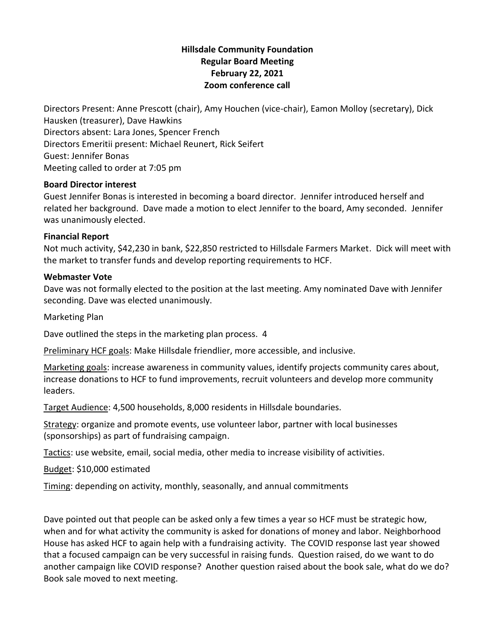# **Hillsdale Community Foundation Regular Board Meeting February 22, 2021 Zoom conference call**

Directors Present: Anne Prescott (chair), Amy Houchen (vice-chair), Eamon Molloy (secretary), Dick Hausken (treasurer), Dave Hawkins Directors absent: Lara Jones, Spencer French Directors Emeritii present: Michael Reunert, Rick Seifert Guest: Jennifer Bonas Meeting called to order at 7:05 pm

#### **Board Director interest**

Guest Jennifer Bonas is interested in becoming a board director. Jennifer introduced herself and related her background. Dave made a motion to elect Jennifer to the board, Amy seconded. Jennifer was unanimously elected.

## **Financial Report**

Not much activity, \$42,230 in bank, \$22,850 restricted to Hillsdale Farmers Market. Dick will meet with the market to transfer funds and develop reporting requirements to HCF.

## **Webmaster Vote**

Dave was not formally elected to the position at the last meeting. Amy nominated Dave with Jennifer seconding. Dave was elected unanimously.

Marketing Plan

Dave outlined the steps in the marketing plan process. 4

Preliminary HCF goals: Make Hillsdale friendlier, more accessible, and inclusive.

Marketing goals: increase awareness in community values, identify projects community cares about, increase donations to HCF to fund improvements, recruit volunteers and develop more community leaders.

Target Audience: 4,500 households, 8,000 residents in Hillsdale boundaries.

Strategy: organize and promote events, use volunteer labor, partner with local businesses (sponsorships) as part of fundraising campaign.

Tactics: use website, email, social media, other media to increase visibility of activities.

Budget: \$10,000 estimated

Timing: depending on activity, monthly, seasonally, and annual commitments

Dave pointed out that people can be asked only a few times a year so HCF must be strategic how, when and for what activity the community is asked for donations of money and labor. Neighborhood House has asked HCF to again help with a fundraising activity. The COVID response last year showed that a focused campaign can be very successful in raising funds. Question raised, do we want to do another campaign like COVID response? Another question raised about the book sale, what do we do? Book sale moved to next meeting.